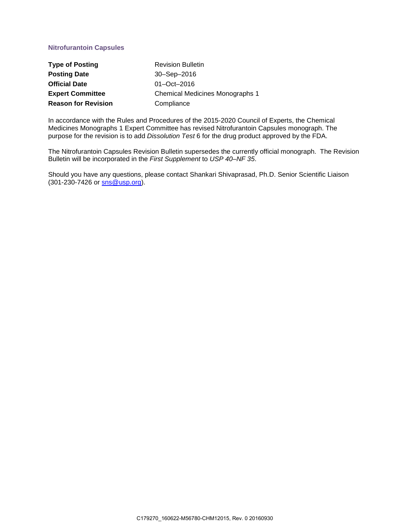# **Nitrofurantoin Capsules**

| <b>Type of Posting</b>     | <b>Revision Bulletin</b>               |
|----------------------------|----------------------------------------|
| <b>Posting Date</b>        | 30-Sep-2016                            |
| <b>Official Date</b>       | $01 - Oct - 2016$                      |
| <b>Expert Committee</b>    | <b>Chemical Medicines Monographs 1</b> |
| <b>Reason for Revision</b> | Compliance                             |

In accordance with the Rules and Procedures of the 2015-2020 Council of Experts, the Chemical Medicines Monographs 1 Expert Committee has revised Nitrofurantoin Capsules monograph. The purpose for the revision is to add *Dissolution Test* 6 for the drug product approved by the FDA.

The Nitrofurantoin Capsules Revision Bulletin supersedes the currently official monograph. The Revision Bulletin will be incorporated in the *First Supplement* to *USP 40–NF 35*.

Should you have any questions, please contact Shankari Shivaprasad, Ph.D. Senior Scientific Liaison (301-230-7426 or **sns@usp.org**).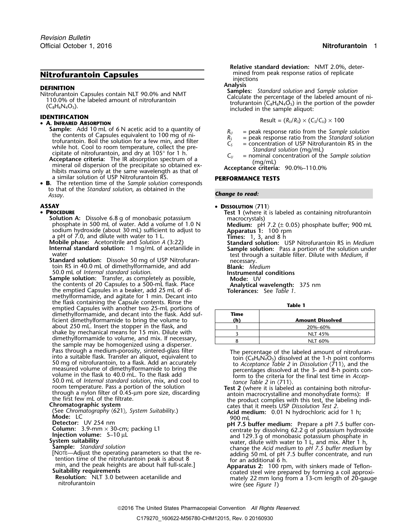- **Sample:** Add 10 mL of 6 N acetic acid to a quantity of<br>the contents of Capsules equivalent to 100 mg of ni-<br>trofurantoin. Boil the solution for a few min, and filter<br>while hot. Cool to room temperature, collect the pre-<br> a similar solution of USP Nitrofurantoin RS. **PERFORMANCE TESTS**
- **B.** The retention time of the *Sample solution* corresponds to that of the *Standard solution*, as obtained in the *Assay Change to read:* .

## **ASSAY** •

## • PROCEDURE

- sodium hydroxide (about 30 mL) sufficient to adjust to **Apparatus 1:** 100 rpm<br>a pH of 7.0, and dilute with water to 1 L, 2000 **multiply Times:** 1, 3, and 8 h
- Mobile phase: Acetonitrile and *Solution A* (3:22) **Standard solution:** USP Nitrofurantoin RS in *Medium*<br>**Internal standard solution:** 1 mg/mL of acetanilide in **Sample solution:** Pass a portion of the solution under
- 50.0 mL of *Internal standard solution*. **Instrumental conditions**
- **Sample solution:** Transfer, as completely as possible, **Mode:** UV the contents of 20 Capsules to a 500-mL flask. Place **Analytical wavelength:** 375 nm<br>the emptied Capsules in a beaker, add 25 mL of di-<br>**Tolerances:** See Table 1. the emptied Capsules in a beaker, add 25 mL of dimethylformamide, and agitate for 1 min. Decant into the flask containing the Capsule contents. Rinse the **Table 1** emptied Capsules with another two 25-mL portions of dimethylformamide, and decant into the flask. Add suf- **Time** ficient dimethylformamide to bring the volume to about 250 mL. Insert the stopper in the flask, and shake by mechanical means for 15 min. Dilute with dimethylformamide to volume, and mix. If necessary, the sample may be homogenized using a disperser. Pass through a medium-porosity, sintered-glass filter<br>
into a suitable flask. Transfer an aliquot, equivalent to<br>
50 mg of nitrofurantoin, to a flask. Add an accurately<br>
measured volume of dimethylformamide to bring the<br>
- 

- 
- 
- 
- 
- 
- 
- 

**Relative standard deviation:** NMT 2.0%, deter-**Nitrofurantoin Capsules** mined from peak response ratios of replicate injections<br>**Analysis** 

**DEFINITION**<br>
Mitrofurantoin Capsules contain NLT 90.0% and NMT<br>
110.0% of the labeled amount of nitrofurantoin<br>
(C<sub>8</sub>H<sub>6</sub>N<sub>4</sub>O<sub>5</sub>).<br>
(C<sub>8</sub>H<sub>6</sub>N<sub>4</sub>O<sub>5</sub>).<br>
The powder included in the sample aliquot:<br>
included in the sample

**IDENTIFYATION**  
\n• **A. Infrared Association**  
\n**RESWI = 
$$
(R_U/R_S) \times (C_S/C_U) \times 100
$$**

- 
- 
- 
- 

## • **DISSOLUTION**  $\langle 711 \rangle$

**PROCEDURE**<br> **PROCEDURE P**<br> **P** Test 1 (where it is labeled as containing nitrofurantoin<br>
phosphate in 500 mL of water. Add a volume of 1.0 N **Medium:** pH 7.2 (± 0.05) phosphate buffer; 900 mL

**Internal standard solution:** 1 mg/mL of acetanilide in **Sample solution:** Pass a portion of the solution und water<br> **Sample solution:** Pass a portion of the solution und<br> **Standard solution:** Dissolve 50 mg of USP Nitrofu

| Time<br>(h) | <b>Amount Dissolved</b> |
|-------------|-------------------------|
|             | 20%-60%                 |
|             | <b>NLT 45%</b>          |
|             | <b>NLT 60%</b>          |
|             |                         |

the first few mL of the filtrate.<br> **Chromatographic system**<br>
(See Chromatography (621), System Suitability.) **Chromatography cates that it meets USP** *Dissolution Test 2*.<br> **Acid medium:** 0.01 N hydrochloric acid for 1 h:

- (See *Chromatography*  $(621)$ *, System Suitability*.)<br> **Acid medium:** 0.01 N hydrochloric acid for 1 h;<br> **Detector:** UV 254 nm<br> **Column:** 3.9-mm × 3.10 ul, packing L1 perfectively dissolving 62.2 g of potassium hydroxide<br> **Column:**  $3.9\text{-mm} \times 30\text{-cm}$ ; packing L1<br> **Column:**  $5-10 \mu L$ <br> **Column:**  $5-10 \mu L$ <br> **Column:**  $5-10 \mu L$ <br> **Column:**  $5-10 \mu L$ <br> **Column:**  $5-10 \mu L$ <br> **Column:**  $5-10 \mu L$ <br> **Column:**  $5-10 \mu L$ <br> **Column:**  $5-10 \mu L$ <br> **Column:**
- min, and the peak heights are about half full-scale.]<br> **Apparatus 2:** 100 rpm, with sinkers made of Teflon-<br> **Suitability requirements**<br>
Resolution: NLT 3.0 between acetanilide and<br>
mitrofurantoin<br>
mitrofurantoin<br>
mitrofur

### 2016 The United States Pharmacopeial Convention *All Rights Reserved.*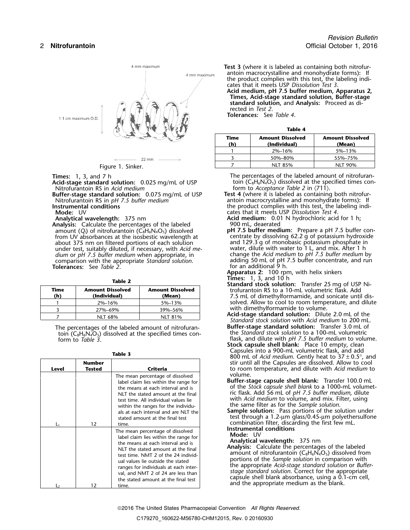

Figure 1. Sinker.

Acid-stage standard solution: 0.025 mg/mL of USP<br>Nitrofurantoin RS in Acid medium

**Buffer-stage standard solution:** 0.075 mg/mL of USP

**Analysis:** Calculate the percentages of the labeled amount  $(Q_i)$  of nitrofurantoin  $(C_8H_6N_4O_5)$  dissolved from UV absorbances at the isosbestic wavelength at example that dissolving 62.2 g of potassium hydroxic<br>about 375 nm on filtered portions of each solution and 129.3 g of monobasic potassium phosphate in about 375 nm on filtered portions of each solution and 129.3 g of monobasic potassium phosphate in<br>under test, suitably diluted, if necessary, with Acid me-<br>water, dilute with water to 1 L, and mix. After 1 h under test, suitably diluted, if necessary, with *Acid me-* dium or pH 7.5 buffer medium when appropriate, in *dium* or *pH 7.5 buffer medium* when appropriate, in change the *Acid medium* to *pH 7.5 buffer medium* by comparison with the appropriate *Standard solution*. adding 50 mL of pH 7.5 buffer concentrate, and run **The comparison with the appropriate** *Standard solution*. The adding 50 mL of pH and additional 9 h.

| Time<br>(h) | <b>Amount Dissolved</b><br>(Individual) | <b>Amount Dissolved</b><br>(Mean) |
|-------------|-----------------------------------------|-----------------------------------|
|             | $2\% - 16\%$                            | 5%-13%                            |
|             | 27%-69%                                 | 39%-56%                           |
|             | NIT 68%                                 | NIT 81%                           |

| Table 3 |                         |                                                                                                                                                                                                                                                                                                                                                                 | 800 mL of Acid medium. Gently heat to $37 \pm 0$                                                                                                                                                                                                                                                                                                                                                            |
|---------|-------------------------|-----------------------------------------------------------------------------------------------------------------------------------------------------------------------------------------------------------------------------------------------------------------------------------------------------------------------------------------------------------------|-------------------------------------------------------------------------------------------------------------------------------------------------------------------------------------------------------------------------------------------------------------------------------------------------------------------------------------------------------------------------------------------------------------|
| Level   | <b>Number</b><br>Tested | Criteria                                                                                                                                                                                                                                                                                                                                                        | stir until all the Capsules are dissolved. Allow t<br>to room temperature, and dilute with Acid me                                                                                                                                                                                                                                                                                                          |
|         |                         | The mean percentage of dissolved<br>label claim lies within the range for<br>the means at each interval and is<br>NLT the stated amount at the final<br>test time. All individual values lie<br>within the ranges for the individu-<br>als at each interval and are NLT the<br>stated amount at the final test                                                  | volume.<br>Buffer-stage capsule shell blank: Transfer 10<br>of the Stock capsule shell blank to a 1000-mL \<br>ric flask. Add 56 mL of pH 7.5 buffer medium,<br>with Acid medium to volume, and mix. Filter, u<br>the same filter as for the Sample solution.<br><b>Sample solution:</b> Pass portions of the solution<br>test through a $1.2$ -µm glass/0.45-µm polyethe                                   |
|         | $12 \overline{ }$       | time.                                                                                                                                                                                                                                                                                                                                                           | combination filter, discarding the first few mL.<br>Instrumental conditions                                                                                                                                                                                                                                                                                                                                 |
| L٦      | 12                      | The mean percentage of dissolved<br>label claim lies within the range for<br>the means at each interval and is<br>NLT the stated amount at the final<br>test time. NMT 2 of the 24 individ-<br>ual values lie outside the stated<br>ranges for individuals at each inter-<br>val, and NMT 2 of 24 are less than<br>the stated amount at the final test<br>time. | Mode: UV<br>Analytical wavelength: 375 nm<br>Analysis: Calculate the percentages of the label<br>amount of nitrofurantoin ( $C_8H_6N_4O_5$ ) dissolved<br>portions of the Sample solution in comparison<br>the appropriate Acid-stage standard solution or<br>stage standard solution. Correct for the approp<br>capsule shell blank absorbance, using a 0.1-cn<br>and the appropriate medium as the blank. |

**Test 3** (where it is labeled as containing both nitrofurantoin macrocrystalline and monohydrate forms)**:** If the product complies with this test, the labeling indicates that it meets USP *Dissolution Test 3*.

**Acid medium, pH 7.5 buffer medium, Apparatus 2, Times, Acid-stage standard solution, Buffer-stage standard solution,** and **Analysis:** Proceed as directed in *Test 2*.

**Tolerances:** See *Table 4*.

| Table 4     |                                         |                                   |  |
|-------------|-----------------------------------------|-----------------------------------|--|
| Time<br>(h) | <b>Amount Dissolved</b><br>(Individual) | <b>Amount Dissolved</b><br>(Mean) |  |
|             | 2%-16%                                  | 5%-13%                            |  |
|             | 50%-80%                                 | 55%-75%                           |  |
|             | NLT 85%                                 | <b>NLT 90%</b>                    |  |

**Times:** 1, 3, and 7 h The percentages of the labeled amount of nitrofuran-<br>**Acid-stage standard solution:** 0.025 mg/mL of USP toin (C<sub>8</sub>H<sub>6</sub>N<sub>4</sub>O<sub>5</sub>) dissolved at the specified times con-

form to *Acceptance Table 2* in  $\langle 711 \rangle$ .<br>**Test 4** (where it is labeled as containing both nitrofur-Nitrofurantoin RS in *pH 7.5 buffer medium*<br>Instrumental conditions the product complies with this test, the labeling indi-<br>Instrumental conditions the product complies with this test, the labeling indi-**Mode:** UV cates that it meets USP *Dissolution Test 4*.

**Analytical wavelength:** 375 nm **Acid medium:** 0.01 N hydrochloric acid for 1 h;

- **pH 7.5 buffer medium:** Prepare a pH 7.5 buffer concentrate by dissolving 62.2 g of potassium hydroxide
- **Apparatus 2:** 100 rpm, with helix sinkers<br>Times: 1, 3, and 10 h
- 
- **Table 2 Table 2 Standard stock solution:** Transfer 25 mg of USP Ni**trofurantoin RS to a 10-mL volumetric flask. Add (h) (Individual) (Mean)** 7.5 mL of dimethylformamide, and sonicate until dis-<sup>1</sup> 2%–16% 5%–13% solved. Allow to cool to room temperature, and dilute with dimethylformamide to volume.
	- **Acid-stage standard solution:** Dilute 2.0 mL of the <sup>7</sup> NLT 68% NLT 81% *Standard stock solution* with *Acid medium* to 200 mL.
- The percentages of the labeled amount of nitrofuran-<br>toin (C<sub>8</sub>H<sub>6</sub>N<sub>4</sub>O<sub>5</sub>) dissolved at the specified times con-<br>the *Standard stock solution* to a 100-mL volumetric toin (C the *Standard stock solution* to a 100-mL volumetric <sup>8</sup>H6N4O5) dissolved at the specified times con- flask, and dilute with *pH 7.5 buffer medium* to volume. form to *Table 3*.
	- **Stock capsule shell blank:** Place 10 empty, clean Capsules into a 900-mL volumetric flask, and add **Table 3** <sup>800</sup> mL of *Acid medium*. Gently heat to 37 <sup>±</sup> 0.5°, and **Number** stir until all the Capsules are dissolved. Allow to cool and the Capsules are dissolved. Allow to cool **Level Tested Criteria** to room temperature, and dilute with *Acid medium* to volume.
		- Buffer-stage capsule shell blank: Transfer 100.0 mL of the *Stock capsule shell blank* to a 1000-mL volumetric flask. Add 56 mL of *pH 7.5 buffer medium*, dilute with *Acid medium* to volume, and mix. Filter, using the same filter as for the *Sample solution*.
		- **Sample solution:** Pass portions of the solution under stated amount at the final test  $\qquad \qquad \qquad \qquad \text{test}$  through a 1.2-µm glass/0.45-µm polyethersulfone **Instrumental conditions**<br>Mode: UV

Analysis: Calculate the percentages of the labeled amount of nitrofurantoin ( $C_8H_6N_4O_5$ ) dissolved from portions of the Sample solution in comparison with the appropriate *Acid-stage standard solution* or *Buffer-<br>stage standard solution*. Correct for the appropriate<br>capsule shell blank absorbance, using a 0.1-cm cell,<br>and the appropriate medium as the blank.

<sup>2016</sup> The United States Pharmacopeial Convention *All Rights Reserved.*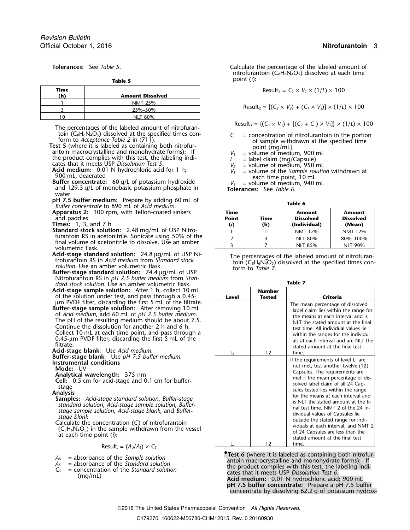| Time<br>(h) | <b>Amount Dissolved</b> |
|-------------|-------------------------|
|             | <b>NMT 25%</b>          |
|             | 25%-50%                 |
| 10          | <b>NLT 80%</b>          |

The percentages of the labeled amount of nitrofuran-<br>toin (C<sub>8</sub>H<sub>6</sub>N<sub>4</sub>O<sub>5</sub>) dissolved at the specified times con-<br> $C_i$  = concentration of nitrofurantoin in the portion

toin  $(C_8H_6N_4O_5)$  dissolved at the specified times con-<br>form to *Acceptance Table 2* in (711).<br>**Test 5** (where it is labeled as containing both nitrofur-<br>antoin macrocrystalline and monohydrate forms): If<br>the product c

**Acid medium:** 0.01 N hydrochloric acid for 1 h;<br>900 mL, deaerated<br>Buffer concentrate: 60 g/L of potassium hydroxide<br>and 129.3 g/L of monobasic potassium phosphate in<br>and 129.3 g/L of monobasic potassium phosphate in<br>**Tol** 

- water
- **pH 7.5 buffer medium:** Prepare by adding 60 mL of **Table 6** *Buffer concentrate* **to 890 mL of** *Acid medium***.**
- **Apparatus 2: 100 rpm, with Teflon-coated sinkers** and paddles **Point Time Dissolved Dissolved**
- **Times:** 1, 3, and 7 h **(***i***) (h) (Individual) (Mean)**
- **Standard stock solution:** 2.48 mg/mL of USP Nitro-<br>furantoin RS in acetonitrile. Sonicate using 50% of the final volume of acetonitrile to dissolve. Use an amber volumetric flask.
- 
- Nitrofurantoin RS in *pH 7.5 buffer medium* from *Stan-***Table 7** *dard stock solution*. Use an amber volumetric flask.
- **Acid-stage sample solution:** After 1 h, collect 10 mL of the solution under test, and pass through a 0.45-<br>µm PVDF filter, discarding the first 5 mL of the filtrate.
- 

- 
- 

$$
\text{Result}_i = (A_i / A_s) \times C_s
$$

- 
- 
- 

**Tolerances:** See *Table 5*. Calculate the percentage of the labeled amount of

nitrofurantoin ( $C_8H_6N_4O_5$ ) dissolved at each time point (*i*): **Table 5**

 $\text{Result}_1 = C_1 \times V_1 \times (1/L) \times 100$ 

 $Result_2 = [(C_2 \times V_2) + (C_1 \times V_5)] \times (1/L) \times 100$ 

- 
- 
- 
- 
- 
- 

| Time<br><b>Point</b><br>(i) | Time<br>(h) | <b>Amount</b><br><b>Dissolved</b><br>(Individual) | <b>Amount</b><br><b>Dissolved</b><br>(Mean) |
|-----------------------------|-------------|---------------------------------------------------|---------------------------------------------|
|                             |             | <b>NMT 12%</b>                                    | <b>NMT 12%</b>                              |
|                             |             | <b>NLT 80%</b>                                    | 80%-100%                                    |
|                             |             | <b>NLT 85%</b>                                    | <b>NLT 90%</b>                              |

**Acid-stage standard solution:** 24.8  $\mu$ g/mL of USP Ni-<br>trofurantoin RS in *Acid medium* from *Standard stock*<br>solution. Use an amber volumetric flask.<br>**Buffer-stage standard solution:** 74.4  $\mu$ g/mL of USP<br>**Buffer-stage** 

| Acid-stage sample solution: After 1 h, collect 10 mL<br>of the solution under test, and pass through a 0.45-                                                                                                                                                                                                                                                                                       | Level            | <b>Number</b><br><b>Tested</b> | Criteria                                                                                                                                                                                                                                                                                               |
|----------------------------------------------------------------------------------------------------------------------------------------------------------------------------------------------------------------------------------------------------------------------------------------------------------------------------------------------------------------------------------------------------|------------------|--------------------------------|--------------------------------------------------------------------------------------------------------------------------------------------------------------------------------------------------------------------------------------------------------------------------------------------------------|
| um PVDF filter, discarding the first 5 mL of the filtrate.                                                                                                                                                                                                                                                                                                                                         |                  |                                | The mean percentage of dissolved                                                                                                                                                                                                                                                                       |
| Buffer-stage sample solution: After removing 10 mL<br>of Acid medium, add 60 mL of pH 7.5 buffer medium.<br>The pH of the resulting medium should be about 7.5.<br>Continue the dissolution for another 2 h and 6 h.<br>Collect 10 mL at each time point, and pass through a<br>$0.45$ -µm PVDF filter, discarding the first 5 mL of the<br>filtrate.<br><b>Acid-stage blank:</b> Use Acid medium. |                  | 12                             | label claim lies within the range for<br>the means at each interval and is<br>NLT the stated amount at the final<br>test time. All individual values lie<br>within the ranges for the individu-<br>als at each interval and are NLT the<br>stated amount at the final test                             |
| <b>Buffer-stage blank:</b> Use pH 7.5 buffer medium.                                                                                                                                                                                                                                                                                                                                               |                  |                                | time.<br>If the requirements of level $L_1$ are                                                                                                                                                                                                                                                        |
| Instrumental conditions                                                                                                                                                                                                                                                                                                                                                                            |                  |                                | not met, test another twelve (12)                                                                                                                                                                                                                                                                      |
| Mode: UV                                                                                                                                                                                                                                                                                                                                                                                           |                  |                                | Capsules. The requirements are                                                                                                                                                                                                                                                                         |
| Analytical wavelength: 375 nm<br><b>Cell:</b> 0.5 cm for acid-stage and 0.1 cm for buffer-                                                                                                                                                                                                                                                                                                         |                  |                                | met if the mean percentage of dis-                                                                                                                                                                                                                                                                     |
| stage                                                                                                                                                                                                                                                                                                                                                                                              |                  |                                | solved label claim of all 24 Cap-                                                                                                                                                                                                                                                                      |
| Analysis                                                                                                                                                                                                                                                                                                                                                                                           |                  |                                | sules tested lies within the range                                                                                                                                                                                                                                                                     |
| Samples: Acid-stage standard solution, Buffer-stage<br>standard solution, Acid-stage sample solution, Buffer-<br>stage sample solution, Acid-stage blank, and Buffer-<br>stage blank<br>Calculate the concentration $(C_i)$ of nitrofurantoin<br>$(C_8H_6N_4O_5)$ in the sample withdrawn from the vessel<br>at each time point $(i)$ :                                                            |                  |                                | for the means at each interval and<br>is NLT the stated amount at the fi-<br>nal test time. NMT 2 of the 24 in-<br>dividual values of Capsules lie<br>outside the stated range for indi-<br>viduals at each interval, and NMT 2<br>of 24 Capsules are less than the<br>stated amount at the final test |
| $D_{\text{scatt}}$ (A $(A \cup C)$                                                                                                                                                                                                                                                                                                                                                                 | $\mathsf{L}_{2}$ | 12                             | time.                                                                                                                                                                                                                                                                                                  |

**• Test 6** (where it is labeled as containing both nitrofur- $A<sub>U</sub>$  = absorbance of the *Sample solution*<br>  $A<sub>S</sub>$  = absorbance of the *Standard solution*<br>  $C<sub>S</sub>$  = concentration of the *Standard solution*<br>  $C<sub>S</sub>$  = concentration of the *Standard solution*<br>  $C<sub>S</sub>$  = **pH 7.5 buffer concentrate:** Prepare a pH 7.5 buffer concentrate by dissolving 62.2 g of potassium hydrox-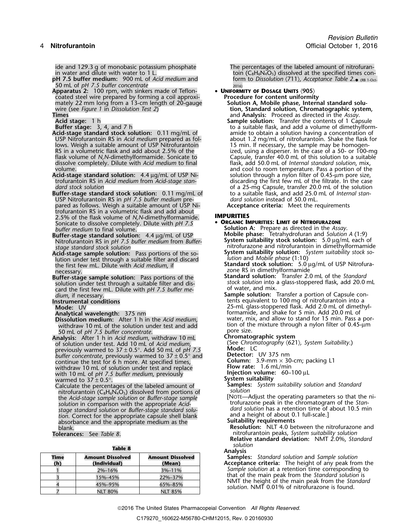ide and 129.3 g of monobasic potassium phosphate The percentages of the labeled amount of nitrofuran-<br>in water and dilute with water to 1 L.<br>The percentages of the labeled amount of nitrofuran-

- **pH 7.5 buffer medium:** 900 mL of *Acid medium* and form to *Dissolution*  $\langle 711 \rangle$ *, Acce*<br>50 mL of *pH 7.5 buffer concentrate* **2016**<br>**Apparatus 2:** 100 rpm, with sinkers made of Teflon-**4 by UNIFORMITY OF DOSAGE UNITS** 50 mL of *pH 7.5 buffer concentrate* 2016)
- **Apparatus 2:** 100 rpm, with sinkers made of Teflon- **UNIFORMITY OF DOSAGE UNITS** 〈**905**〉 coated steel wire prepared by forming a coil approxi- **Procedure for content uniformity** mately 22 mm long from a 13-cm length of 20-gauge **Solution A, Mobile phase, Internal standard solu-**
- 
- 
- 
- USP Nitrofurantoin RS in *Acid medium* prepared as fol-<br>lows. Weigh a suitable amount of USP Nitrofurantoin **15 min.** If necessary, the sample may be homogenlows. Weigh a suitable amount of USP Nitrofurantoin 15 min. If necessary, the sample may be homogendissolve completely. Dilute with *Acid medium* to final volume.
- **Acid-stage standard solution:** 4.4 µg/mL of USP Nitrofurantoin RS in Acid medium from Acid-stage stan-
- **Buffer-stage standard stock solution:** 0.11 mg/mL of to a suitable flask, and add 25.0 **Internal standard standard standard standard** in pH 7.5 buffer medium pre-USP Nitrofurantoin RS in *pH 7.5 buffer medium* pre- *dard solution* instead of 50.0 mL. pared as follows. Weigh a suitable amount of USP Nitrofurantoin RS in a volumetric flask and add about 2.5% of the flask volume of *N,N*-dimethylformamide. **IMPURITIES** Sonicate to dissolve completely. Dilute with *pH 7.5 buffer medium* to final volume.
- **Buffer-stage standard solution:**  $4.4 \mu$ g/mL of USP<br>Nitrofurantoin RS in pH 7.5 buffer medium from Buffer-
- Acid-stage sample solution. Fass portions of the so-<br>
lution and Mobile phase (1:10)<br>
the first few mL. Dilute with Acid medium, if<br>
necessary.<br>
The RS in dimethylformamide<br>
zone RS in dimethylformamide
- solution under test through a suitable filter and dis-<br>card the first few mL. Dilute with *pH 7.5 buffer me* <sup>of</sup> water, and mix. card the first few mL. Dilute with pH 7.5 buffer me-
- 
- 

- withdraw 10 mL of the solution under test and add
- 50 mL of *pH 7.5 buffer concentrate*.<br>**10 malysis:** After 1 h in Acid medium, withdraw 10 mL **Chromatographic system Analysis:** After 1 h in *Acid medium*, withdraw 10 mL **Chromatographic system** of solution under test. Add 10 mL of *Acid medium*, (See *Chrom*<br>previously warmed to 37 + 0.5°, Add 50 mL of *pH* 7.5 **Mode:** LC previously warmed to 37 <sup>±</sup> 0.5°. Add 50 mL of *pH 7.5* **Mode:** LC *buffer concentrate*, previously warmed to 37 <sup>±</sup> 0.5° and **Detector:** UV 375 nm continue the test for 6 h more. At specified times,<br>withdraw 10 mL of solution under test and replace<br>**Flow rate:** 1.6 mL/min withdraw 10 mL of solution under test and replace **Flow rate:** 1.6 mL/min with 10 mL of *pH 7.5 buffer medium*, previously **Injection volume:** 60–100 <sup>µ</sup><sup>L</sup> warmed to 37 <sup>±</sup> 0.5°. **System suitability**
- warmed to 37 ± 0.5°.<br>Calculate the percentages of the labeled amount of **Samples:** *System suitability solution* and *Standard*<br>solution solution solution nitrofurantoin (C<sub>8</sub>H<sub>6</sub>N<sub>4</sub>O<sub>5</sub>) dissolved from portions of<br>the Acid-stage sample solution or *Buffer-stage sample* [NOTE—Adjust the operating parameters so that the ni-<br>solution in comparison with the appropriate Acid-<br>s *stage standard solution* or *Buffer-stage standard solu- dard solution* has a retention time of about 10.5 min tion. Correct for the appropriate capsule shell blank and a height of about 0.<br>absorbance and the appropriate medium as the **Suitability requirements** absorbance and the appropriate medium as the<br>blank.

| <b>Table 8</b> |                                         |                                   | solution<br><b>Analysis</b> |
|----------------|-----------------------------------------|-----------------------------------|-----------------------------|
| Time<br>(h)    | <b>Amount Dissolved</b><br>(Individual) | <b>Amount Dissolved</b><br>(Mean) | Samples:<br>Acceptanc       |
|                | 2%-16%                                  | 3%-11%                            | Sample so                   |
|                | 15%-45%                                 | 22%-37%                           | that of th                  |
|                | 45%-95%                                 | 65%-85%                           | NMT the<br>solution. N      |
|                | <b>NLT 80%</b>                          | <b>NLT 85%</b>                    |                             |

toin ( $C_8H_6N_4O_5$ ) dissolved at the specified times con- $\bullet$  (RB 1-Oct-

mately 22 mm long from a 13-cm length of 20-gauge **Solution A, Mobile phase, Internal standard solu-**<br>wire (see *Figure 1* in *Dissolution Test 2*) **tion, Standard solution, Chromatographic system,**<br>and **Analysis:** Proceed **Times** and **Analysis:** Proceed as directed in the *Assay*.<br> **Acid stage:** 1 h **Sample solution:** Transfer the contents of 1 Cap **Acid stage:** 1 h **Sample solution:** Transfer the contents of 1 Capsule **Sample solution:** Transfer the contents of 1 Capsule **Buffer stage:** 3, 4, and 7 h **Sample solution:** to a suitable flask, and add a volume of dimeth to a suitable flask, and add a volume of dimethylform-<br>amide to obtain a solution having a concentration of **Acid-stage standard stock solution:** 0.11 mg/mL of amide to obtain a solution having a concentration of USP Nitrofurantoin RS in *Acid medium* prepared as fol-<br>USP Nitrofurantoin RS in *Acid medium* prepared as fol-<br>about RS in a volumetric flask and add about 2.5% of the ital ized, using a disperser. In the case of a 50- or 100-mg flask volume of *N,N*-dimethylformamide. Sonicate to Capsule, transfer 40.0 mL of this solution to a suitable dissolve completely. Dilute with *Acid medium* to final flask, add 50.0 mL of *Internal standard solution*, mix, and cool to room temperature. Pass a portion of the solution through a nylon filter of 0.45-µm pore size, trofurantoin RS in *Acid medium* from *Acid-stage stan-* discarding the first few mL of the filtrate. In the case of a 25-mg Capsule, transfer 20.0 mL of the solution<br>to a suitable flask, and add 25.0 mL of *Internal stan*-

- **Solution A:** Prepare as directed in the *Assay*.<br>**Mobile phase:** Tetrahydrofuran and *Solution A* (1:9) Nitrofurantoin RS in *pH 7.5 buffer medium* **System suitability stock solution:** 5.0 <sup>µ</sup>g/mL each of from *Bufferstage standard stock solution* nitrofurazone and nitrofurantoin in dimethylformamide
	-
- zone RS in dimethylformamide<br>**Standard solution:** Transfer 2.0 mL of the Standard **Buffer-stage sample solution:** Pass portions of the **Standard solution:** Transfer 2.0 mL of the *Standard*
- *dium*, if necessary.<br> **Sample solution:** Transfer a portion of Capsule con-<br> **Instrumental conditions** tents equivalent to 100 mg of nitrofurantoin into a **Instrumental conditions** tents equivalent to 100 mg of nitrofurantoin into a **Mode:** 25-mL glass-stoppered flask. Add 2.0 mL of dimethyl- UV Mode: UV<br>Analytical wavelength: 375 nm<br>Dissolution medium: After 1 h in the *Acid medium*, water, mix, and allow to stand for 15 min. Pass a water, mix, and allow to stand for 15 min. Pass a portion of the mixture through a nylon filter of 0.45-µm
	-

- 
- 
- 
- 
- 
- 
- 
- 

**Resolution:** NLT 4.0 between the nitrofurazone and **Tolerances:** See *Table 8*. nitrofurantoin peaks, *System suitability solution* **Relative standard deviation:** NMT 2.0%, *Standard*

**Samples:** *Standard solution* and *Sample solution* **(h) (Individual) (Mean) Acceptance criteria:** The height of any peak from the Sample solution at a retention time corresponding to that of the main peak from the *Standard solution* is NMT the height of the main peak from the *Standard solution*. NMT 0.01% of nitrofurazone is found.